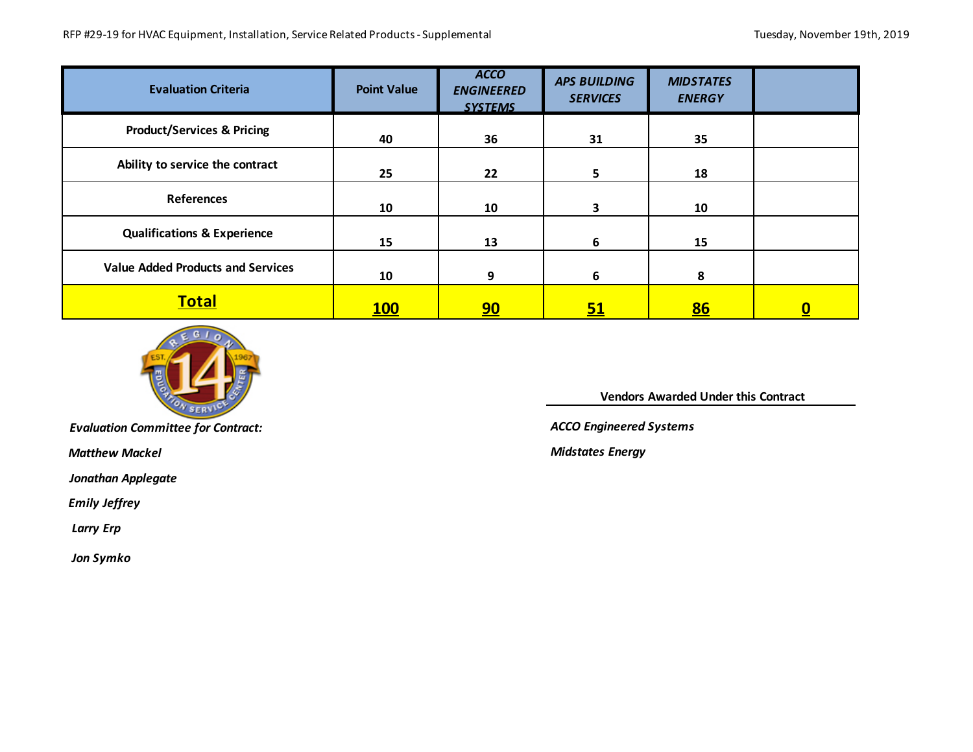| <b>Evaluation Criteria</b>               | <b>Point Value</b> | <b>ACCO</b><br><b>ENGINEERED</b><br><b>SYSTEMS</b> | <b>APS BUILDING</b><br><b>SERVICES</b> | <b>MIDSTATES</b><br><b>ENERGY</b> |          |
|------------------------------------------|--------------------|----------------------------------------------------|----------------------------------------|-----------------------------------|----------|
| <b>Product/Services &amp; Pricing</b>    | 40                 | 36                                                 | 31                                     | 35                                |          |
| Ability to service the contract          | 25                 | 22                                                 | 5                                      | 18                                |          |
| <b>References</b>                        | 10                 | 10                                                 | 3                                      | 10                                |          |
| <b>Qualifications &amp; Experience</b>   | 15                 | 13                                                 | 6                                      | 15                                |          |
| <b>Value Added Products and Services</b> | 10                 | 9                                                  | 6                                      | 8                                 |          |
| <b>Total</b>                             | <b>100</b>         | <u>90</u>                                          | <u>51</u>                              | <u>86</u>                         | <u>0</u> |



*Evaluation Committee for Contract:* 

 *Matthew Mackel*

*Jonathan Applegate*

 *Emily Jeffrey*

 *Larry Erp*

 *Jon Symko*

 **Vendors Awarded Under this Contract** 

*ACCO Engineered Systems*

*Midstates Energy*